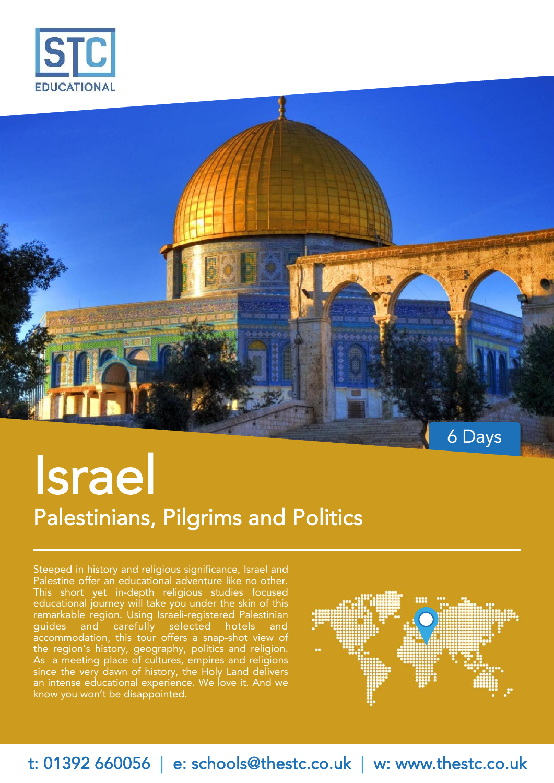



# **Israel Palestinians, Pilgrims and Politics**

Steeped in history and religious significance, Israel and Palestine offer an educational adventure like no other. This short yet in-depth religious studies focused educational journey will take you under the skin of this remarkable region. Using Israeli-registered Palestinian guides and carefully selected hotels and accommodation, this tour offers a snap-shot view of the region's history, geography, politics and religion. As a meeting place of cultures, empires and religions since the very dawn of history, the Holy Land delivers an intense educational experience. We love it. And we know you won't be disappointed.



**t: 01392 660056 | e: schools@thestc.co.uk | w: www.thestc.co.uk**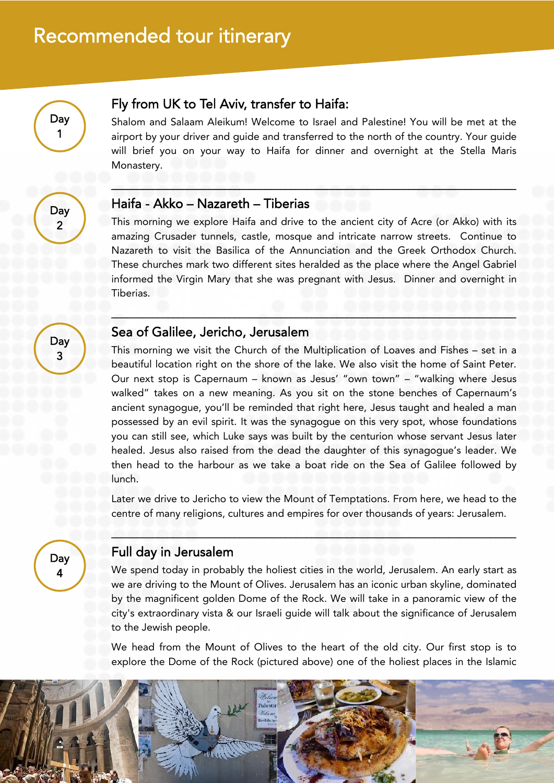

#### **Fly from UK to Tel Aviv, transfer to Haifa:**

Shalom and Salaam Aleikum! Welcome to Israel and Palestine! You will be met at the airport by your driver and guide and transferred to the north of the country. Your guide will brief you on your way to Haifa for dinner and overnight at the Stella Maris Monastery.

**\_\_\_\_\_\_\_\_\_\_\_\_\_\_\_\_\_\_\_\_\_\_\_\_\_\_\_\_\_\_\_\_\_\_\_\_\_\_\_\_\_\_\_\_\_\_\_\_\_\_\_\_\_\_\_\_\_\_\_\_\_\_\_\_\_\_\_\_\_\_\_\_\_\_\_\_\_\_\_**

**\_\_\_\_\_\_\_\_\_\_\_\_\_\_\_\_\_\_\_\_\_\_\_\_\_\_\_\_\_\_\_\_\_\_\_\_\_\_\_\_\_\_\_\_\_\_\_\_\_\_\_\_\_\_\_\_\_\_\_\_\_\_\_\_\_\_\_\_\_\_\_\_\_\_\_\_\_\_\_**

**Day 2**

> **Day 3**

#### **Haifa - Akko – Nazareth – Tiberias**

This morning we explore Haifa and drive to the ancient city of Acre (or Akko) with its amazing Crusader tunnels, castle, mosque and intricate narrow streets. Continue to Nazareth to visit the Basilica of the Annunciation and the Greek Orthodox Church. These churches mark two different sites heralded as the place where the Angel Gabriel informed the Virgin Mary that she was pregnant with Jesus. Dinner and overnight in Tiberias.

#### **Sea of Galilee, Jericho, Jerusalem**

This morning we visit the Church of the Multiplication of Loaves and Fishes – set in a beautiful location right on the shore of the lake. We also visit the home of Saint Peter. Our next stop is Capernaum – known as Jesus' "own town" – "walking where Jesus walked" takes on a new meaning. As you sit on the stone benches of Capernaum's ancient synagogue, you'll be reminded that right here, Jesus taught and healed a man possessed by an evil spirit. It was the synagogue on this very spot, whose foundations you can still see, which Luke says was built by the centurion whose servant Jesus later healed. Jesus also raised from the dead the daughter of this synagogue's leader. We then head to the harbour as we take a boat ride on the Sea of Galilee followed by lunch.

Later we drive to Jericho to view the Mount of Temptations. From here, we head to the centre of many religions, cultures and empires for over thousands of years: Jerusalem.

**\_\_\_\_\_\_\_\_\_\_\_\_\_\_\_\_\_\_\_\_\_\_\_\_\_\_\_\_\_\_\_\_\_\_\_\_\_\_\_\_\_\_\_\_\_\_\_\_\_\_\_\_\_\_\_\_\_\_\_\_\_\_\_\_\_\_\_\_\_\_\_\_\_\_\_\_\_\_\_**

**Day 4**

#### **Full day in Jerusalem**

We spend today in probably the holiest cities in the world, Jerusalem. An early start as we are driving to the Mount of Olives. Jerusalem has an iconic urban skyline, dominated by the magnificent golden Dome of the Rock. We will take in a panoramic view of the city's extraordinary vista & our Israeli guide will talk about the significance of Jerusalem to the Jewish people.

We head from the Mount of Olives to the heart of the old city. Our first stop is to explore the Dome of the Rock (pictured above) one of the holiest places in the Islamic

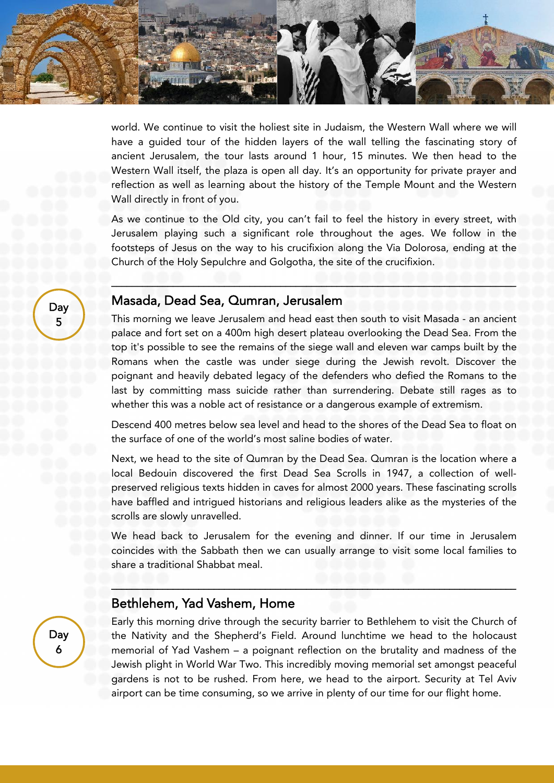world. We continue to visit the holiest site in Judaism, the Western Wall where we will have a guided tour of the hidden layers of the wall telling the fascinating story of ancient Jerusalem, the tour lasts around 1 hour, 15 minutes. We then head to the Western Wall itself, the plaza is open all day. It's an opportunity for private prayer and reflection as well as learning about the history of the Temple Mount and the Western Wall directly in front of you.

As we continue to the Old city, you can't fail to feel the history in every street, with Jerusalem playing such a significant role throughout the ages. We follow in the footsteps of Jesus on the way to his crucifixion along the Via Dolorosa, ending at the Church of the Holy Sepulchre and Golgotha, the site of the crucifixion.

**\_\_\_\_\_\_\_\_\_\_\_\_\_\_\_\_\_\_\_\_\_\_\_\_\_\_\_\_\_\_\_\_\_\_\_\_\_\_\_\_\_\_\_\_\_\_\_\_\_\_\_\_\_\_\_\_\_\_\_\_\_\_\_\_\_\_\_\_\_\_\_\_\_\_\_\_\_\_\_**

#### **Masada, Dead Sea, Qumran, Jerusalem**

This morning we leave Jerusalem and head east then south to visit Masada - an ancient palace and fort set on a 400m high desert plateau overlooking the Dead Sea. From the top it's possible to see the remains of the siege wall and eleven war camps built by the Romans when the castle was under siege during the Jewish revolt. Discover the poignant and heavily debated legacy of the defenders who defied the Romans to the last by committing mass suicide rather than surrendering. Debate still rages as to whether this was a noble act of resistance or a dangerous example of extremism.

Descend 400 metres below sea level and head to the shores of the Dead Sea to float on the surface of one of the world's most saline bodies of water.

Next, we head to the site of Qumran by the Dead Sea. Qumran is the location where a local Bedouin discovered the first Dead Sea Scrolls in 1947, a collection of well preserved religious texts hidden in caves for almost 2000 years. These fascinating scrolls have baffled and intrigued historians and religious leaders alike as the mysteries of the scrolls are slowly unravelled.

We head back to Jerusalem for the evening and dinner. If our time in Jerusalem coincides with the Sabbath then we can usually arrange to visit some local families to share a traditional Shabbat meal.

**\_\_\_\_\_\_\_\_\_\_\_\_\_\_\_\_\_\_\_\_\_\_\_\_\_\_\_\_\_\_\_\_\_\_\_\_\_\_\_\_\_\_\_\_\_\_\_\_\_\_\_\_\_\_\_\_\_\_\_\_\_\_\_\_\_\_\_\_\_\_\_\_\_\_\_\_\_\_\_**

#### **Bethlehem, Yad Vashem, Home**

Early this morning drive through the security barrier to Bethlehem to visit the Church of the Nativity and the Shepherd's Field. Around lunchtime we head to the holocaust memorial of Yad Vashem – a poignant reflection on the brutality and madness of the Jewish plight in World War Two. This incredibly moving memorial set amongst peaceful gardens is not to be rushed. From here, we head to the airport. Security at Tel Aviv airport can be time consuming, so we arrive in plenty of our time for our flight home.

**Day 5**

> **Day 6**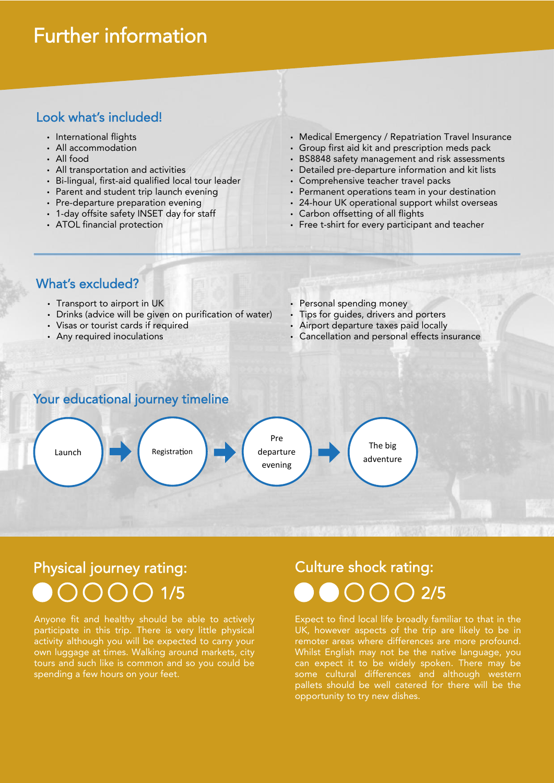### **Further information**

#### **Look what's included!**

- International flights
- All accommodation
- All food
- All transportation and activities
- Bi-lingual, first-aid qualified local tour leader
- Parent and student trip launch evening
- Pre-departure preparation evening
- 1-day offsite safety INSET day for staff
- ATOL financial protection
- Medical Emergency / Repatriation Travel Insurance
- Group first aid kit and prescription meds pack BS8848 safety management and risk assessments
- Detailed pre-departure information and kit lists
- Comprehensive teacher travel packs
- 
- Permanent operations team in your destination
- 24-hour UK operational support whilst overseas
- Carbon offsetting of all flights
- Free t-shirt for every participant and teacher

#### **What's excluded?**

- Transport to airport in UK
- Drinks (advice will be given on purification of water)
- Visas or tourist cards if required
- Any required inoculations
- Personal spending money
- Tips for guides, drivers and porters
	- Airport departure taxes paid locally
- Cancellation and personal effects insurance

#### **Your educational journey timeline**



# **Physical journey rating: Culture shock rating:**

Anyone fit and healthy should be able to actively participate in this trip. There is very little physical activity although you will be expected to carry your own luggage at times. Walking around markets, city tours and such like is common and so you could be spending a few hours on your feet.

# **1/5 1/5 1/5 1/5 1/5**

Expect to find local life broadly familiar to that in the UK, however aspects of the trip are likely to be in remoter areas where differences are more profound. Whilst English may not be the native language, you can expect it to be widely spoken. There may be some cultural differences and although western pallets should be well catered for there will be the opportunity to try new dishes.